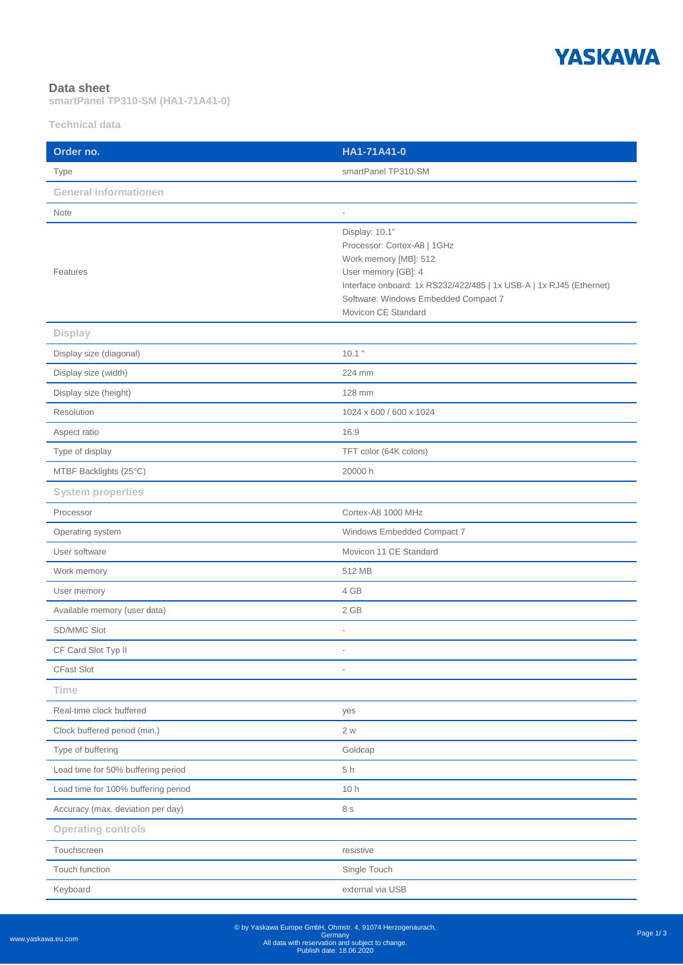

## **Data sheet**

**smartPanel TP310-SM (HA1-71A41-0)**

**Technical data**

| Order no.                           | HA1-71A41-0                                                                                                                                                                                                                         |
|-------------------------------------|-------------------------------------------------------------------------------------------------------------------------------------------------------------------------------------------------------------------------------------|
| Type                                | smartPanel TP310-SM                                                                                                                                                                                                                 |
| <b>General informationen</b>        |                                                                                                                                                                                                                                     |
| Note                                | $\overline{a}$                                                                                                                                                                                                                      |
| Features                            | Display: 10.1"<br>Processor: Cortex-A8   1GHz<br>Work memory [MB]: 512<br>User memory [GB]: 4<br>Interface onboard: 1x RS232/422/485   1x USB-A   1x RJ45 (Ethernet)<br>Software: Windows Embedded Compact 7<br>Movicon CE Standard |
| <b>Display</b>                      |                                                                                                                                                                                                                                     |
| Display size (diagonal)             | $10.1$ "                                                                                                                                                                                                                            |
| Display size (width)                | 224 mm                                                                                                                                                                                                                              |
| Display size (height)               | 128 mm                                                                                                                                                                                                                              |
| Resolution                          | 1024 x 600 / 600 x 1024                                                                                                                                                                                                             |
| Aspect ratio                        | 16:9                                                                                                                                                                                                                                |
| Type of display                     | TFT color (64K colors)                                                                                                                                                                                                              |
| MTBF Backlights (25°C)              | 20000 h                                                                                                                                                                                                                             |
| <b>System properties</b>            |                                                                                                                                                                                                                                     |
| Processor                           | Cortex-A8 1000 MHz                                                                                                                                                                                                                  |
| Operating system                    | Windows Embedded Compact 7                                                                                                                                                                                                          |
| User software                       | Movicon 11 CE Standard                                                                                                                                                                                                              |
| Work memory                         | 512 MB                                                                                                                                                                                                                              |
| User memory                         | 4 GB                                                                                                                                                                                                                                |
| Available memory (user data)        | 2 GB                                                                                                                                                                                                                                |
| SD/MMC Slot                         | $\overline{a}$                                                                                                                                                                                                                      |
| CF Card Slot Typ II                 | $\bar{a}$                                                                                                                                                                                                                           |
| CFast Slot                          |                                                                                                                                                                                                                                     |
| Time                                |                                                                                                                                                                                                                                     |
| Real-time clock buffered            | yes                                                                                                                                                                                                                                 |
| Clock buffered period (min.)        | 2 w                                                                                                                                                                                                                                 |
| Type of buffering                   | Goldcap                                                                                                                                                                                                                             |
| Load time for 50% buffering period  | 5h                                                                                                                                                                                                                                  |
| Load time for 100% buffering period | 10h                                                                                                                                                                                                                                 |
| Accuracy (max. deviation per day)   | 8 s                                                                                                                                                                                                                                 |
| <b>Operating controls</b>           |                                                                                                                                                                                                                                     |
| Touchscreen                         | resistive                                                                                                                                                                                                                           |
| Touch function                      | Single Touch                                                                                                                                                                                                                        |
| Keyboard                            | external via USB                                                                                                                                                                                                                    |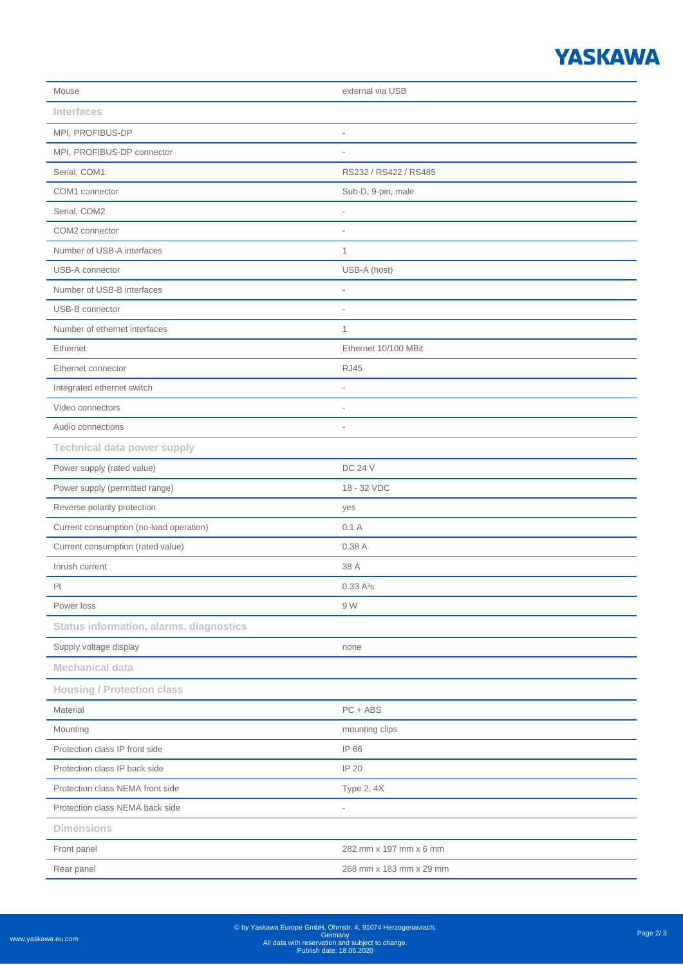## **YASKAWA**

| Mouse                                          | external via USB         |
|------------------------------------------------|--------------------------|
| <b>Interfaces</b>                              |                          |
| MPI, PROFIBUS-DP                               | i.                       |
| MPI, PROFIBUS-DP connector                     | $\overline{\phantom{a}}$ |
| Serial, COM1                                   | RS232 / RS422 / RS485    |
| COM1 connector                                 | Sub-D, 9-pin, male       |
| Serial, COM2                                   | $\overline{\phantom{a}}$ |
| COM2 connector                                 | i,                       |
| Number of USB-A interfaces                     | $\mathbf{1}$             |
| USB-A connector                                | USB-A (host)             |
| Number of USB-B interfaces                     | $\overline{\phantom{a}}$ |
| USB-B connector                                | $\overline{a}$           |
| Number of ethernet interfaces                  | $\mathbf{1}$             |
| Ethernet                                       | Ethernet 10/100 MBit     |
| Ethernet connector                             | <b>RJ45</b>              |
| Integrated ethernet switch                     | $\overline{a}$           |
| Video connectors                               | $\overline{a}$           |
| Audio connections                              | $\overline{a}$           |
| <b>Technical data power supply</b>             |                          |
| Power supply (rated value)                     | <b>DC 24 V</b>           |
| Power supply (permitted range)                 | 18 - 32 VDC              |
| Reverse polarity protection                    | yes                      |
| Current consumption (no-load operation)        | 0.1A                     |
| Current consumption (rated value)              | 0.38 A                   |
| Inrush current                                 | 38 A                     |
| 2t                                             | 0.33A <sup>2</sup> s     |
| Power loss                                     | 9 W                      |
| <b>Status information, alarms, diagnostics</b> |                          |
| Supply voltage display                         | none                     |
| <b>Mechanical data</b>                         |                          |
| <b>Housing / Protection class</b>              |                          |
| Material                                       | $PC + ABS$               |
| Mounting                                       | mounting clips           |
| Protection class IP front side                 | IP 66                    |
| Protection class IP back side                  | IP 20                    |
| Protection class NEMA front side               | Type 2, 4X               |
| Protection class NEMA back side                | $\overline{a}$           |
| <b>Dimensions</b>                              |                          |
| Front panel                                    | 282 mm x 197 mm x 6 mm   |
| Rear panel                                     | 268 mm x 183 mm x 29 mm  |
|                                                |                          |